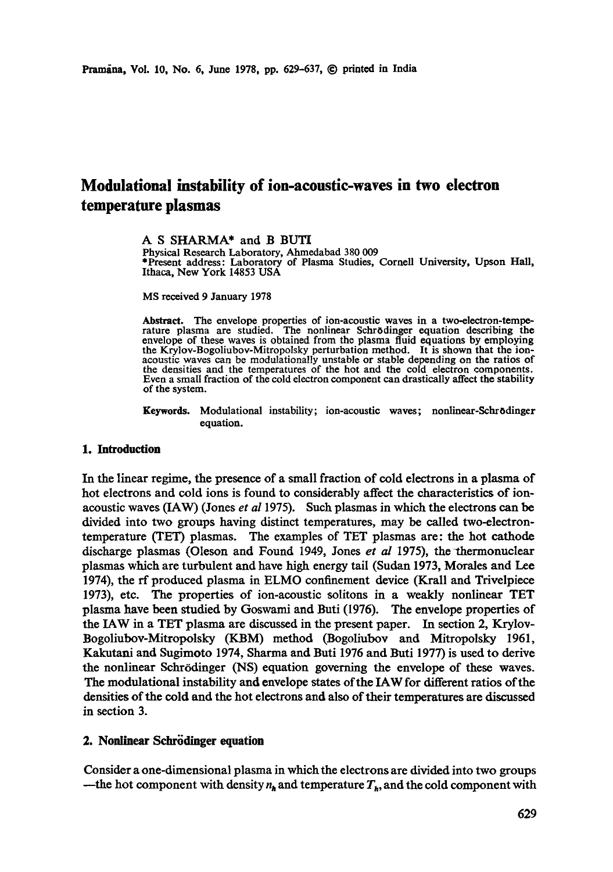# **Modulafional instability of ion-acoustic-waves in two electron temperature plasmas**

**A S** SHARMA\* and B BUTI Physical Research Laboratory, Ahmedabad 380 009 \*Present address: Laboratory of Plasma Studies, Cornell University, Upson Hall, Ithaca, New York 14853 USA

MS received 9 January 1978

Abstract. The envelope properties of ion-acoustic waves in a two-electron-tempe-rature plasma are studied. The nonlinear SchrSdinger equation describing the envelope of these waves is obtained from the plasma fluid equations by employing the Krylov-Bogoliubov-Mitropolsky perturbation method. It is shown that the ionacoustic waves can be modulationally unstable or stable depending on the ratios of the densities and the temperatures of the hot and the cold electron components. Even a small fraction of the cold electron component can drastically affect the stability of the system.

Keywords. Modulational instability; ion-acoustic waves; nonlinear-Schrödinger equation.

### **1. Introduction**

In the linear regime, the presence of a small fraction of cold electrons in a plasma of hot electrons and cold ions is found to considerably affect the characteristics of ionacoustic waves (IAW) (Jones *et al* 1975). Such plasmas in which the electrons can be divided into two groups having distinct temperatures, may be called two-electrontemperature (TET) plasmas. The examples of TET plasmas are: the hot cathode discharge plasmas (Oleson and Found 1949, Jones *et al* 1975), the thermonuclear plasmas which are turbulent and have high energy tail (Sudan 1973, Morales and Lee 1974), the rf produced plasma in ELMO confinement device (Krall and Trivelpiece 1973), etc. The properties of ion-acoustic solitons in a weakly nonlineax TET plasma have been studied by Goswami and Buti (1976). The envelope properties of the IAW in a TET plasma are discussed in the present paper. In section 2, Krylov-Bogoliubov-Mitropolsky (KBM) method (Bogoliubov and Mitropolsky 1961, Kakutani and Sugimoto 1974, Sharma and Buti 1976 and Buti 1977) is used to derive the nonlinear Schrödinger (NS) equation governing the envelope of these waves. The modulational instability and envelope states of the IAW for different ratios of the densities of the cold and the hot electrons and also of their temperatures are discussed in section 3.

#### **2. Nonlinear Schrödinger equation**

Consider a one-dimensional plasma in which the electrons are divided into two groups --the hot component with density  $n_{\bf k}$  and temperature  $T_{\bf k}$ , and the cold component with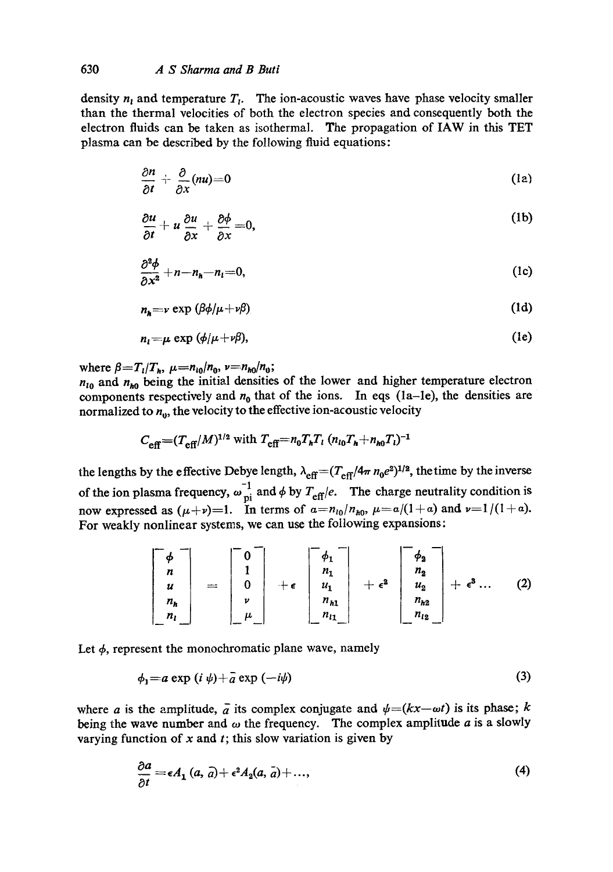density  $n_1$  and temperature  $T_1$ . The ion-acoustic waves have phase velocity smaller than the thermal velocities of both the electron species and consequently both the electron fluids can be taken as isothermal. The propagation of IAW in this TET plasma can be described by the following fluid equations:

$$
\frac{\partial n}{\partial t} + \frac{\partial}{\partial x}(nu) = 0 \tag{12}
$$

$$
\frac{\partial u}{\partial t} + u \frac{\partial u}{\partial x} + \frac{\partial \phi}{\partial x} = 0, \tag{1b}
$$

$$
\frac{\partial^2 \phi}{\partial x^2} + n - n_h - n_l = 0, \tag{1c}
$$

$$
n_{h} = v \exp \left(\beta \phi / \mu + \nu \beta\right) \tag{1d}
$$

$$
n_i = \mu \exp(\phi/\mu + \nu \beta), \tag{1e}
$$

where  $\beta = T_l/T_h$ ,  $\mu = n_{l0}/n_0$ ,  $\nu = n_{h0}/n_0$ ;

 $n_{10}$  and  $n_{h0}$  being the initial densities of the lower and higher temperature electron components respectively and  $n_0$  that of the ions. In eqs (1a-1e), the densities are normalized to  $n_0$ , the velocity to the effective ion-acoustic velocity

$$
C_{\text{eff}} = (T_{\text{eff}}/M)^{1/2}
$$
 with  $T_{\text{eff}} = n_0 T_h T_l (n_{l0} T_h + n_{h0} T_l)^{-1}$ 

the lengths by the effective Debye length,  $\lambda_{\text{eff}} = (T_{\text{eff}}/4\pi n_0 e^2)^{1/2}$ , thetime by the inverse of the ion plasma frequency,  $\omega_{pi}^{-1}$  and  $\phi$  by  $T_{eff}/e$ . The charge neutrality condition is now expressed as  $(\mu+\nu)=1$ . In terms of  $\alpha=n_{i0}/n_{i0}$ ,  $\mu=a/(1+\alpha)$  and  $\nu=1/(1+\alpha)$ . For weakly nonlinear systems, we can use the following expansions:

$$
\begin{bmatrix} \phi \\ n \\ u \\ n_h \\ n_l \end{bmatrix} = \begin{bmatrix} 0 \\ 1 \\ 0 \\ v \\ \mu \end{bmatrix} + \epsilon \begin{bmatrix} \phi_1 \\ n_1 \\ u_1 \\ n_{h1} \\ n_{l1} \end{bmatrix} + \epsilon^2 \begin{bmatrix} \phi_2 \\ n_2 \\ u_2 \\ n_{h2} \\ n_{l2} \end{bmatrix} + \epsilon^3 \dots (2)
$$

Let  $\phi$ , represent the monochromatic plane wave, namely

$$
\phi_1 = a \exp(i \psi) + \bar{a} \exp(-i\psi) \tag{3}
$$

where a is the amplitude,  $\overline{a}$  its complex conjugate and  $\psi = (kx - \omega t)$  is its phase; k being the wave number and  $\omega$  the frequency. The complex amplitude  $a$  is a slowly varying function of  $x$  and  $t$ ; this slow variation is given by

$$
\frac{\partial a}{\partial t} = \epsilon A_1(a, a) + \epsilon^2 A_2(a, a) + ..., \tag{4}
$$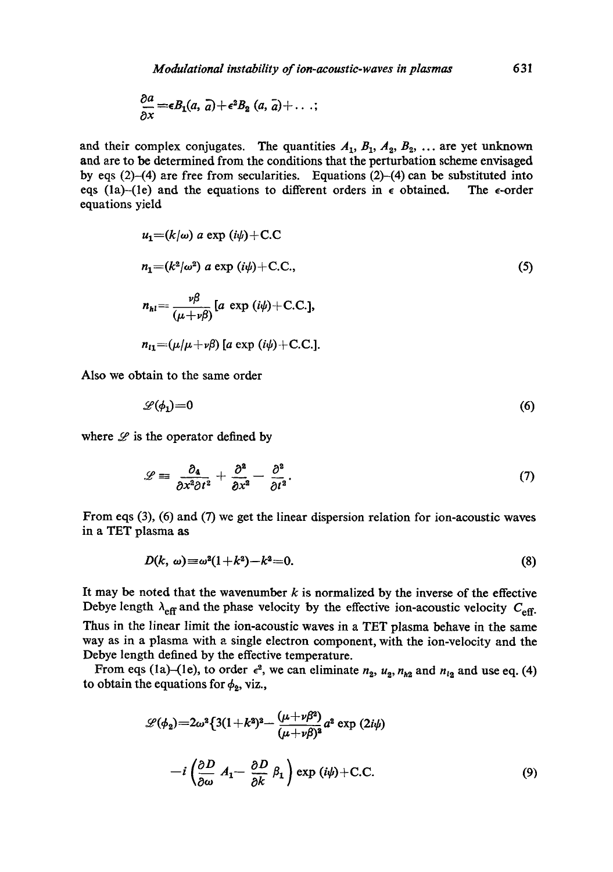$$
\frac{\partial a}{\partial x} = \epsilon B_1(a, a) + \epsilon^2 B_2(a, a) + \ldots;
$$

and their complex conjugates. The quantities  $A_1$ ,  $B_1$ ,  $A_2$ ,  $B_2$ , ... are yet unknown and are to be determined from the conditions that the perturbation scheme envisaged by eqs (2)-(4) are free from secularities. Equations (2)-(4) can be substituted into eqs (1a)-(1e) and the equations to different orders in  $\epsilon$  obtained. The  $\epsilon$ -order equations yield

$$
u_1 = (k/\omega) a \exp(i\psi) + C.C
$$
  
\n
$$
n_1 = (k^2/\omega^2) a \exp(i\psi) + C.C.,
$$
  
\n
$$
n_{hl} = \frac{\nu \beta}{(\mu + \nu \beta)} [a \exp(i\psi) + C.C.],
$$
  
\n
$$
n_{l1} = (\mu/\mu + \nu \beta) [a \exp(i\psi) + C.C.].
$$
  
\n(5)

Also we obtain to the same order

$$
\mathscr{L}(\phi_1)=0\tag{6}
$$

where  $\mathscr L$  is the operator defined by

$$
\mathscr{L} \equiv \frac{\partial_4}{\partial x^2 \partial t^2} + \frac{\partial^2}{\partial x^2} - \frac{\partial^2}{\partial t^2}.
$$
 (7)

From eqs (3), (6) and (7) we get the linear dispersion relation for ion-acoustic waves in a TET plasma as

$$
D(k, \omega) \equiv \omega^2(1+k^2)-k^2=0. \tag{8}
$$

It may be noted that the wavenumber  $k$  is normalized by the inverse of the effective Debye length  $\lambda_{\text{eff}}$  and the phase velocity by the effective ion-acoustic velocity  $C_{\text{eff}}$ .

Thus in the linear limit the ion-acoustic waves in a TET plasma behave in the same way as in a plasma with a single electron component, with the ion-velocity and the Debye length defined by the effective temperature.

From eqs (1a)-(1e), to order  $\epsilon^2$ , we can eliminate  $n_2$ ,  $u_2$ ,  $n_{h2}$  and  $n_{l2}$  and use eq. (4) to obtain the equations for  $\phi_2$ , viz.,

$$
\mathcal{L}(\phi_2) = 2\omega^2 \left\{ 3(1+k^2)^2 - \frac{(\mu+\nu\beta^2)}{(\mu+\nu\beta)^2} a^2 \exp(2i\psi) \right\}
$$

$$
-i\left(\frac{\partial D}{\partial \omega} A_1 - \frac{\partial D}{\partial k} \beta_1 \right) \exp(i\psi) + C.C. \tag{9}
$$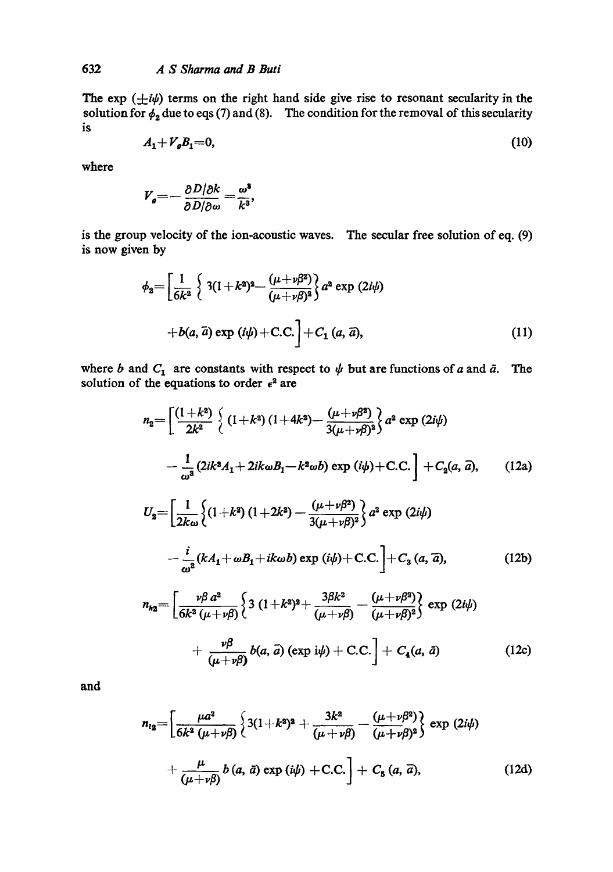The exp  $(\pm i\psi)$  terms on the right hand side give rise to resonant secularity in the solution for  $\phi_2$  due to eqs (7) and (8). The condition for the removal of this secularity is

$$
A_1 + V_g B_1 = 0,\t(10)
$$

where

$$
V_g = -\frac{\partial D/\partial k}{\partial D/\partial \omega} = \frac{\omega^3}{k^3},
$$

is the group velocity of the ion-acoustic waves. The secular free solution of eq. (9) is now given by

$$
\phi_2 = \left[\frac{1}{6k^2} \left\{ 3(1+k^2)^2 - \frac{(\mu+\nu\beta^2)}{(\mu+\nu\beta)^2} \right\} a^2 \exp(2i\psi) + b(a, \bar{a}) \exp(i\psi) + C.C.\right] + C_1(a, \bar{a}), \tag{11}
$$

where b and  $C_1$  are constants with respect to  $\psi$  but are functions of a and  $\bar{a}$ . The solution of the equations to order  $\epsilon^2$  are

$$
n_2 = \left[ \frac{(1+k^2)}{2k^2} \left\{ (1+k^2) (1+4k^2) - \frac{(\mu+\nu\beta^2)}{3(\mu+\nu\beta)^2} \right\} a^2 \exp(2i\psi) - \frac{1}{\omega^3} (2ik^2A_1 + 2ik\omega B_1 - k^2\omega b) \exp(i\psi) + C.C. \right] + C_2(a, \vec{a}), \qquad (12a)
$$
  

$$
U_2 = \left[ \frac{1}{2L} \left\{ (1+k^2) (1+2k^2) - \frac{(\mu+\nu\beta^2)}{2L} \right\} a^2 \exp(2i\psi) \right\}
$$

$$
a = \left[ \frac{1}{2k\omega} \left\{ (1+k^2) (1+2k^2) - \frac{(\mu+\nu\rho^2)}{3(\mu+\nu\beta)^2} \right\} a^2 \exp(2i\psi) - \frac{i}{\omega^2} (kA_1 + \omega B_1 + ik\omega b) \exp(i\psi) + C.C. \right] + C_3 (a, \tilde{a}), \tag{12b}
$$

$$
n_{h2} = \left[ \frac{\nu \beta a^2}{6k^2 (\mu + \nu \beta)} \left\{ 3 (1 + k^2)^2 + \frac{3\beta k^2}{(\mu + \nu \beta)} - \frac{(\mu + \nu \beta^2)}{(\mu + \nu \beta)^2} \right\} \exp (2i\psi) + \frac{\nu \beta}{(\mu + \nu \beta)} b(a, \vec{a}) (\exp i\psi) + C.C. \right] + C_4(a, \vec{a}) \qquad (12c)
$$

**and** 

$$
n_{l_2} = \left[ \frac{\mu a^2}{6k^2 (\mu + \nu \beta)} \left\{ 3(1 + k^2)^2 + \frac{3k^2}{(\mu + \nu \beta)} - \frac{(\mu + \nu \beta^2)}{(\mu + \nu \beta)^2} \right\} \exp (2i\psi) + \frac{\mu}{(\mu + \nu \beta)} b (a, \bar{a}) \exp (i\psi) + C.C. \right] + C_5 (a, \bar{a}), \qquad (12d)
$$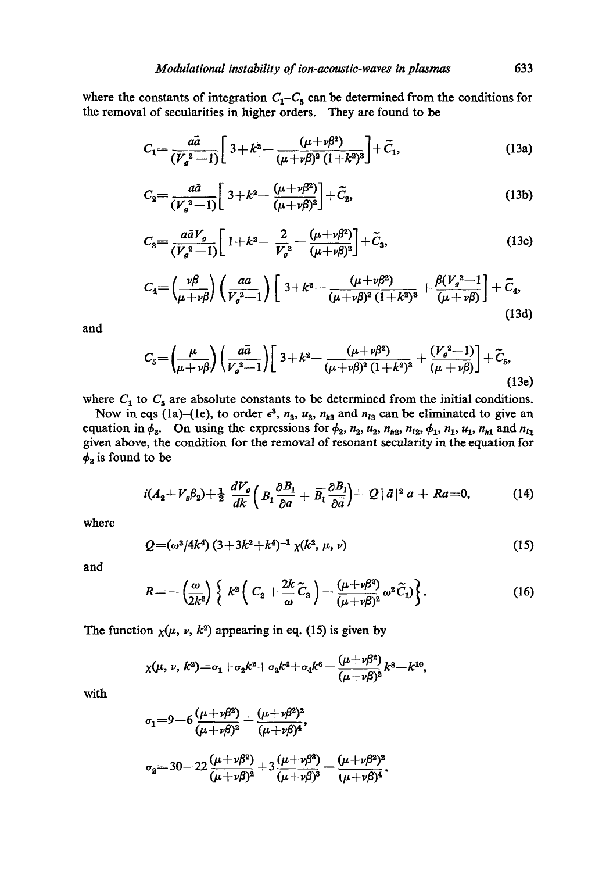where the constants of integration  $C_1 - C_5$  can be determined from the conditions for the removal of secularities in higher orders. They are found to be

$$
C_1 = \frac{a\bar{a}}{(V_a^2 - 1)} \left[ 3 + k^2 - \frac{(\mu + \nu \beta^2)}{(\mu + \nu \beta)^2 (1 + k^2)^3} \right] + \tilde{C}_1,
$$
\n(13a)

$$
C_2 = \frac{a\bar{a}}{(V_g^2 - 1)} \left[ 3 + k^2 - \frac{(\mu + \nu \beta^2)}{(\mu + \nu \beta)^2} \right] + \tilde{C}_2,
$$
\n(13b)

$$
C_3 = \frac{a\bar{a}V_g}{(V_g^2 - 1)} \left[ 1 + k^2 - \frac{2}{V_g^2} - \frac{(\mu + \nu \beta^2)}{(\mu + \nu \beta)^2} \right] + \tilde{C}_3,
$$
\n(13c)

$$
C_4 = \left(\frac{\nu \beta}{\mu + \nu \beta}\right) \left(\frac{aa}{V_g^2 - 1}\right) \left[3 + k^2 - \frac{(\mu + \nu \beta^2)}{(\mu + \nu \beta)^2 (1 + k^2)^3} + \frac{\beta (V_g^2 - 1)}{(\mu + \nu \beta)}\right] + \widetilde{C}_4,
$$
\n(13d)

and

$$
C_5 = \left(\frac{\mu}{\mu + \nu \beta}\right) \left(\frac{a\bar{a}}{V_s^2 - 1}\right) \left[3 + k^2 - \frac{(\mu + \nu \beta^2)}{(\mu + \nu \beta)^2 (1 + k^2)^3} + \frac{(V_s^2 - 1)}{(\mu + \nu \beta)}\right] + \widetilde{C}_5,
$$
\n(13e)

where  $C_1$  to  $C_5$  are absolute constants to be determined from the initial conditions.

Now in eqs (la)-(le), to order  $\epsilon^3$ ,  $n_3$ ,  $u_3$ ,  $n_{h3}$  and  $n_{l3}$  can be eliminated to give an equation in  $\phi_3$ . On using the expressions for  $\phi_2$ ,  $n_2$ ,  $u_2$ ,  $n_{h2}$ ,  $n_{12}$ ,  $\phi_1$ ,  $n_1$ ,  $u_1$ ,  $n_{h1}$  and  $n_{l1}$ given above, the condition for the removal of resonant secularity in the equation for  $\phi_3$  is found to be

$$
i(A_2+V_g\beta_2)+\tfrac{1}{2}\frac{dV_g}{dk}\left(B_1\frac{\partial B_1}{\partial a}+\overline{B_1}\frac{\partial B_1}{\partial \overline{a}}\right)+Q\,|\,\overline{a}\,|^2\,a+Ra=0,\qquad\qquad(14)
$$

where

$$
Q = (\omega^3/4k^4) (3 + 3k^2 + k^4)^{-1} \chi(k^2, \mu, \nu)
$$
 (15)

and

$$
R = -\left(\frac{\omega}{2k^2}\right) \left\{ k^2 \left( C_2 + \frac{2k}{\omega} \widetilde{C}_3 \right) - \frac{(\mu + \nu \beta^2)}{(\mu + \nu \beta)^2} \omega^2 \widetilde{C}_1 \right\}.
$$
 (16)

The function  $\chi(\mu, \nu, k^2)$  appearing in eq. (15) is given by

$$
\chi(\mu, \nu, k^2) = \sigma_1 + \sigma_2 k^2 + \sigma_3 k^4 + \sigma_4 k^6 - \frac{(\mu + \nu \beta^2)}{(\mu + \nu \beta)^2} k^8 - k^{10},
$$

with

$$
\sigma_1 = 9 - 6 \frac{(\mu + \nu \beta^2)}{(\mu + \nu \beta)^2} + \frac{(\mu + \nu \beta^2)^2}{(\mu + \nu \beta)^4},
$$
  

$$
\sigma_2 = 30 - 22 \frac{(\mu + \nu \beta^2)}{(\mu + \nu \beta)^2} + 3 \frac{(\mu + \nu \beta^3)}{(\mu + \nu \beta)^3} - \frac{(\mu + \nu \beta^2)^2}{(\mu + \nu \beta)^4},
$$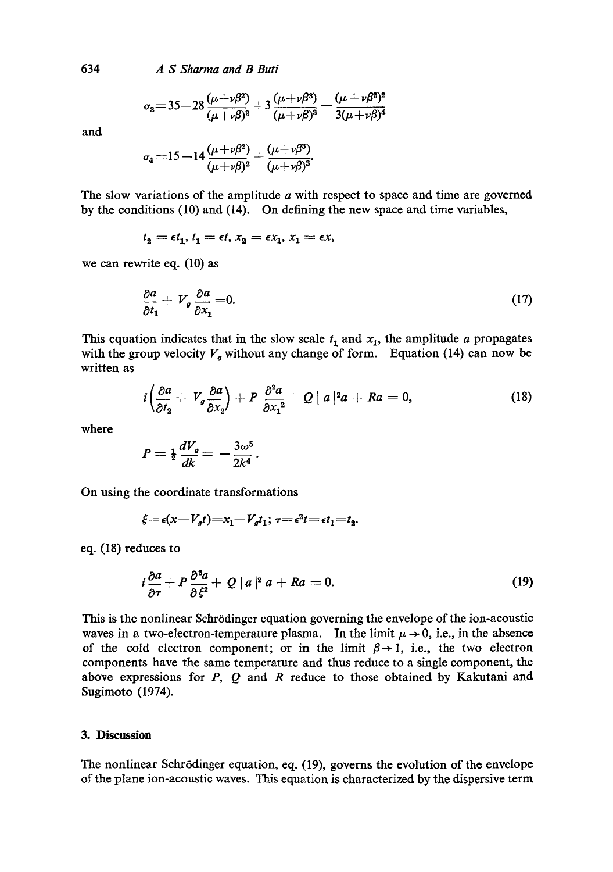634 *A S Sharma and B Buti* 

$$
\sigma_3 = 35 - 28 \frac{(\mu + \nu \beta^2)}{(\mu + \nu \beta)^2} + 3 \frac{(\mu + \nu \beta^3)}{(\mu + \nu \beta)^3} - \frac{(\mu + \nu \beta^2)^2}{3(\mu + \nu \beta)^4}
$$

and

$$
\sigma_4\!=\!15\!-\!14\frac{(\mu\!+\!\nu\beta^2)}{(\mu\!+\!\nu\beta)^2}\!+\!\frac{(\mu\!+\!\nu\beta^3)}{(\mu\!+\!\nu\beta)^3}\!
$$

The slow variations of the amplitude a with respect to space and time are governed by the conditions (10) and (14). On defining the new space and time variables,

$$
t_2 = \epsilon t_1, t_1 = \epsilon t, x_2 = \epsilon x_1, x_1 = \epsilon x,
$$

we can rewrite eq. (10) as

$$
\frac{\partial a}{\partial t_1} + V_g \frac{\partial a}{\partial x_1} = 0. \tag{17}
$$

This equation indicates that in the slow scale  $t_1$  and  $x_1$ , the amplitude a propagates with the group velocity  $V_g$  without any change of form. Equation (14) can now be written as

$$
i\left(\frac{\partial a}{\partial t_2} + V_g \frac{\partial a}{\partial x_2}\right) + P \frac{\partial^2 a}{\partial x_1^2} + Q |a|^2 a + Ra = 0, \qquad (18)
$$

where

$$
P=\tfrac{1}{2}\frac{dV_g}{dk}=-\frac{3\omega^5}{2k^4}.
$$

On using the coordinate transformations

$$
\xi = \epsilon(x - V_g t) = x_1 - V_g t_1; \ \tau = \epsilon^2 t = \epsilon t_1 = t_2.
$$

eq. (18) reduces to

$$
i\frac{\partial a}{\partial \tau} + P \frac{\partial^2 a}{\partial \xi^2} + Q |a|^2 a + Ra = 0. \tag{19}
$$

This is the nonlinear Schrödinger equation governing the envelope of the ion-acoustic waves in a two-electron-temperature plasma. In the limit  $\mu \rightarrow 0$ , i.e., in the absence of the cold electron component; or in the limit  $\beta \rightarrow 1$ , i.e., the two electron components have the same temperature and thus reduce to a single component, the above expressions for  $P$ ,  $Q$  and  $R$  reduce to those obtained by Kakutani and Sugimoto (1974).

#### **3. Discussion**

The nonlinear Schrödinger equation, eq. (19), governs the evolution of the envelope of the plane ion-acoustic waves. This equation is characterized by the dispersive term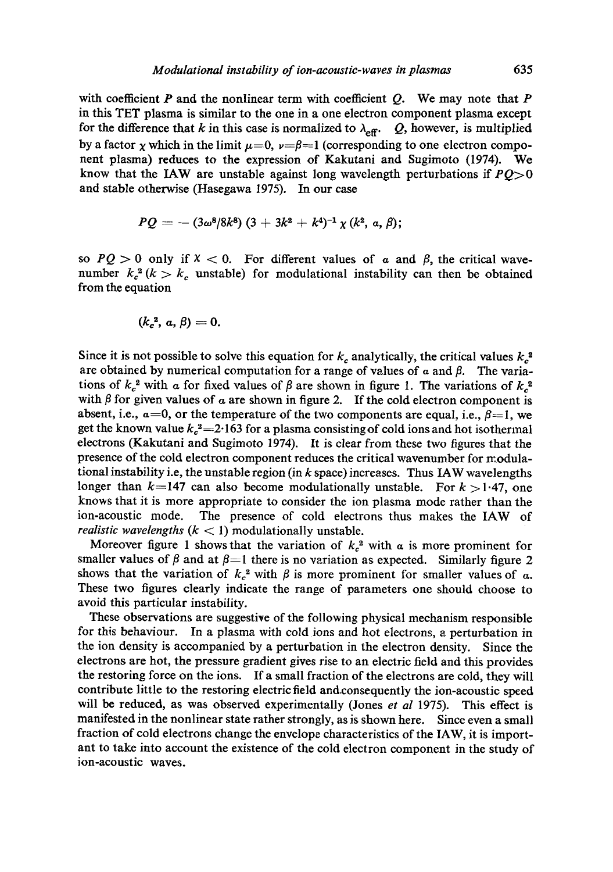with coefficient  $P$  and the nonlinear term with coefficient  $Q$ . We may note that  $P$ in this TET plasma is similar to the one in a one electron component plasma except for the difference that k in this case is normalized to  $\lambda_{\text{eff}}$ . Q, however, is multiplied by a factor x which in the limit  $\mu=0$ ,  $\nu=\beta=1$  (corresponding to one electron component plasma) reduces to the expression of Kakutani and Sugimoto (1974). We know that the IAW are unstable against long wavelength perturbations if *PQ>O*  and stable otherwise (Hasegawa 1975). In our case

$$
PQ = - (3\omega^8/8k^8) (3 + 3k^2 + k^4)^{-1} \chi (k^2, a, \beta);
$$

so  $PQ > 0$  only if  $X < 0$ . For different values of a and  $\beta$ , the critical wavenumber  $k_c^2$  ( $k > k_c$  unstable) for modulational instability can then be obtained from the equation

$$
(k_c^2, a, \beta) = 0.
$$

Since it is not possible to solve this equation for  $k_c$  analytically, the critical values  $k_c^2$ are obtained by numerical computation for a range of values of  $\alpha$  and  $\beta$ . The variations of  $k_c^2$  with a for fixed values of  $\beta$  are shown in figure 1. The variations of  $k_c^2$ with  $\beta$  for given values of  $\alpha$  are shown in figure 2. If the cold electron component is absent, i.e.,  $a=0$ , or the temperature of the two components are equal, i.e.,  $\beta=1$ , we get the known value  $k_c^2 = 2.163$  for a plasma consisting of cold ions and hot isothermal electrons (Kakutani and Sugimoto 1974). It is clear from these two figures that the presence of the cold electron component reduces the critical wavenumber for modulational instability i.e, the unstable region (in  $k$  space) increases. Thus IAW wavelengths longer than  $k=147$  can also become modulationally unstable. For  $k > 1.47$ , one knows that it is more appropriate to consider the ion plasma mode rather than the ion-acoustic mode. The presence of cold electrons thus makes the IAW of *realistic wavelengths*  $(k < 1)$  modulationally unstable.

Moreover figure 1 shows that the variation of  $k_c^2$  with  $\alpha$  is more prominent for smaller values of  $\beta$  and at  $\beta=1$  there is no variation as expected. Similarly figure 2 shows that the variation of  $k_c^2$  with  $\beta$  is more prominent for smaller values of a. These two figures clearly indicate the range of parameters one should choose to avoid this particular instability.

These observations are suggestive of the following physical mechanism responsible for this behaviour. In a plasma with cold ions and hot electrons, a perturbation in the ion density is accompanied by a perturbation in the electron density. Since the electrons are hot, the pressure gradient gives rise to an electric field and this provides the restoring force on the ions. If a small fraction of the electrons are cold, they will contribute little to the restoring electric field and.consequently the ion-acoustic speed will be reduced, as was observed experimentally (Jones *et al* 1975). This effect is manifested in the nonlinear state rather strongly, as is shown here. Since even a small fraction of cold electrons change the envelope characteristics of the IAW, it is important to take into account the existence of the cold electron component in the study of ion-acoustic waves.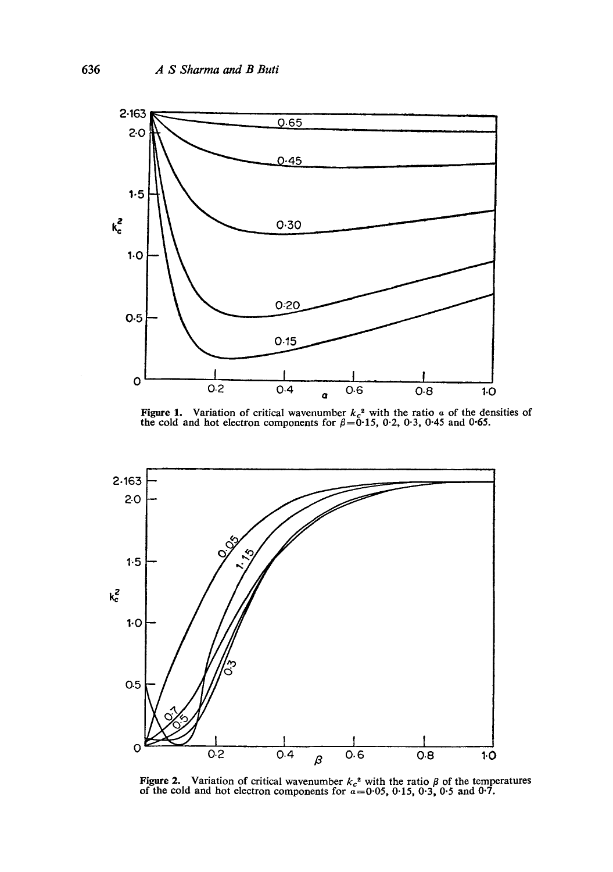

Figure 1. Variation of critical wavenumber  $k_c^2$  with the ratio  $\alpha$  of the densities of the cold and hot electron components for  $\beta$ =0.15, 0.2, 0.3, 0.45 and 0.65.



Figure 2. Variation of critical wavenumber  $k_c^2$  with the ratio  $\beta$  of the temperatures of the cold and hot electron components for  $\alpha = 0.05$ , 0.15, 0.3, 0.5 and 0.7.